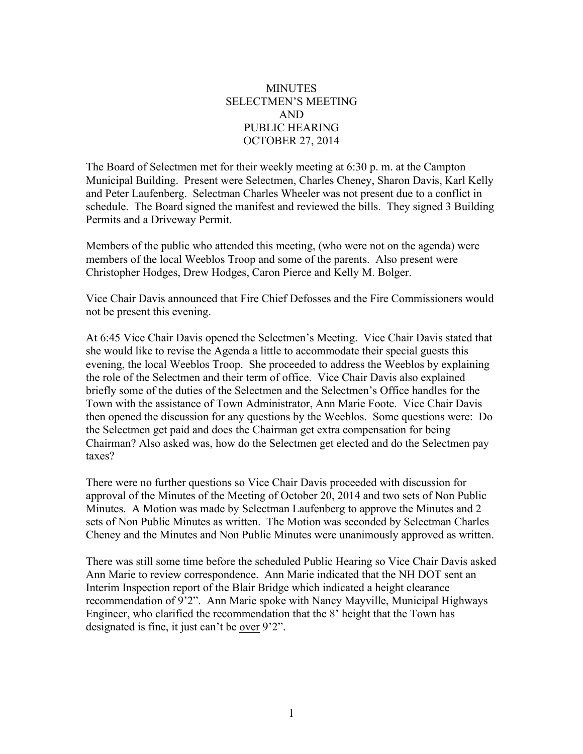## **MINUTES** SELECTMEN'S MEETING AND PUBLIC HEARING OCTOBER 27, 2014

The Board of Selectmen met for their weekly meeting at 6:30 p. m. at the Campton Municipal Building. Present were Selectmen, Charles Cheney, Sharon Davis, Karl Kelly and Peter Laufenberg. Selectman Charles Wheeler was not present due to a conflict in schedule. The Board signed the manifest and reviewed the bills. They signed 3 Building Permits and a Driveway Permit.

Members of the public who attended this meeting, (who were not on the agenda) were members of the local Weeblos Troop and some of the parents. Also present were Christopher Hodges, Drew Hodges, Caron Pierce and Kelly M. Bolger.

Vice Chair Davis announced that Fire Chief Defosses and the Fire Commissioners would not be present this evening.

At 6:45 Vice Chair Davis opened the Selectmen's Meeting. Vice Chair Davis stated that she would like to revise the Agenda a little to accommodate their special guests this evening, the local Weeblos Troop. She proceeded to address the Weeblos by explaining the role of the Selectmen and their term of office. Vice Chair Davis also explained briefly some of the duties of the Selectmen and the Selectmen's Office handles for the Town with the assistance of Town Administrator, Ann Marie Foote. Vice Chair Davis then opened the discussion for any questions by the Weeblos. Some questions were: Do the Selectmen get paid and does the Chairman get extra compensation for being Chairman? Also asked was, how do the Selectmen get elected and do the Selectmen pay taxes?

There were no further questions so Vice Chair Davis proceeded with discussion for approval of the Minutes of the Meeting of October 20, 2014 and two sets of Non Public Minutes. A Motion was made by Selectman Laufenberg to approve the Minutes and 2 sets of Non Public Minutes as written. The Motion was seconded by Selectman Charles Cheney and the Minutes and Non Public Minutes were unanimously approved as written.

There was still some time before the scheduled Public Hearing so Vice Chair Davis asked Ann Marie to review correspondence. Ann Marie indicated that the NH DOT sent an Interim Inspection report of the Blair Bridge which indicated a height clearance recommendation of 9'2". Ann Marie spoke with Nancy Mayville, Municipal Highways Engineer, who clarified the recommendation that the 8' height that the Town has designated is fine, it just can't be over 9'2".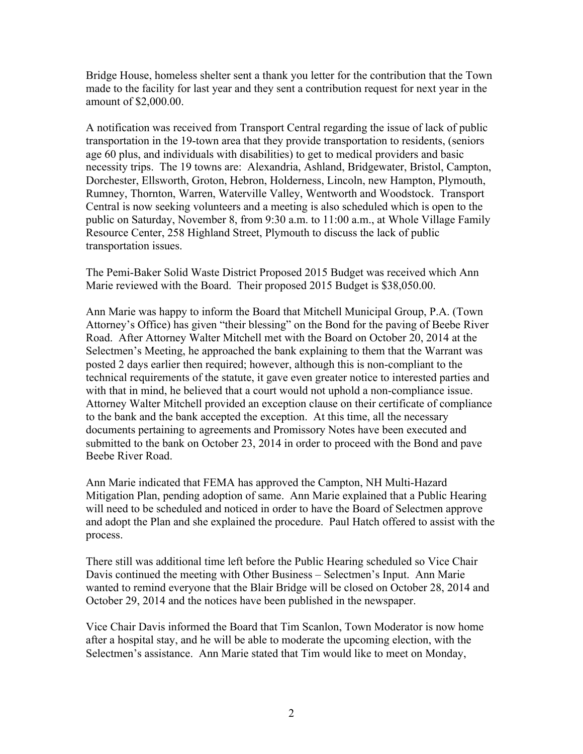Bridge House, homeless shelter sent a thank you letter for the contribution that the Town made to the facility for last year and they sent a contribution request for next year in the amount of \$2,000.00.

A notification was received from Transport Central regarding the issue of lack of public transportation in the 19-town area that they provide transportation to residents, (seniors age 60 plus, and individuals with disabilities) to get to medical providers and basic necessity trips. The 19 towns are: Alexandria, Ashland, Bridgewater, Bristol, Campton, Dorchester, Ellsworth, Groton, Hebron, Holderness, Lincoln, new Hampton, Plymouth, Rumney, Thornton, Warren, Waterville Valley, Wentworth and Woodstock. Transport Central is now seeking volunteers and a meeting is also scheduled which is open to the public on Saturday, November 8, from 9:30 a.m. to 11:00 a.m., at Whole Village Family Resource Center, 258 Highland Street, Plymouth to discuss the lack of public transportation issues.

The Pemi-Baker Solid Waste District Proposed 2015 Budget was received which Ann Marie reviewed with the Board. Their proposed 2015 Budget is \$38,050.00.

Ann Marie was happy to inform the Board that Mitchell Municipal Group, P.A. (Town Attorney's Office) has given "their blessing" on the Bond for the paving of Beebe River Road. After Attorney Walter Mitchell met with the Board on October 20, 2014 at the Selectmen's Meeting, he approached the bank explaining to them that the Warrant was posted 2 days earlier then required; however, although this is non-compliant to the technical requirements of the statute, it gave even greater notice to interested parties and with that in mind, he believed that a court would not uphold a non-compliance issue. Attorney Walter Mitchell provided an exception clause on their certificate of compliance to the bank and the bank accepted the exception. At this time, all the necessary documents pertaining to agreements and Promissory Notes have been executed and submitted to the bank on October 23, 2014 in order to proceed with the Bond and pave Beebe River Road.

Ann Marie indicated that FEMA has approved the Campton, NH Multi-Hazard Mitigation Plan, pending adoption of same. Ann Marie explained that a Public Hearing will need to be scheduled and noticed in order to have the Board of Selectmen approve and adopt the Plan and she explained the procedure. Paul Hatch offered to assist with the process.

There still was additional time left before the Public Hearing scheduled so Vice Chair Davis continued the meeting with Other Business – Selectmen's Input. Ann Marie wanted to remind everyone that the Blair Bridge will be closed on October 28, 2014 and October 29, 2014 and the notices have been published in the newspaper.

Vice Chair Davis informed the Board that Tim Scanlon, Town Moderator is now home after a hospital stay, and he will be able to moderate the upcoming election, with the Selectmen's assistance. Ann Marie stated that Tim would like to meet on Monday,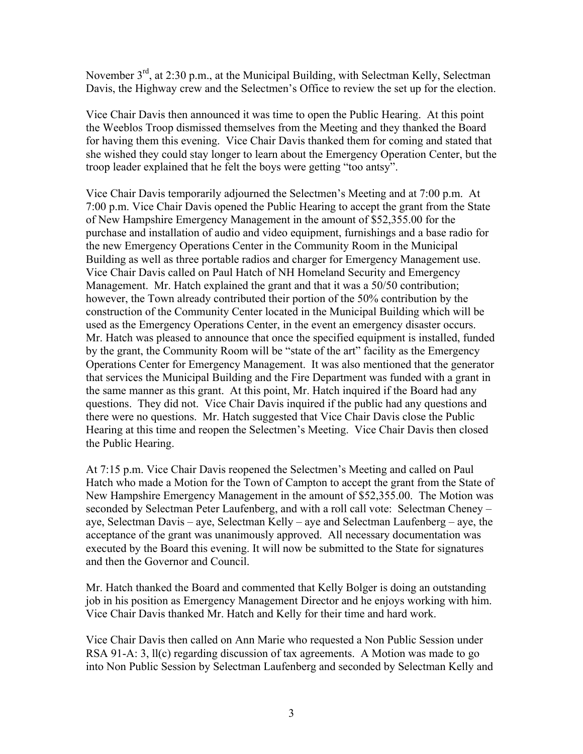November 3<sup>rd</sup>, at 2:30 p.m., at the Municipal Building, with Selectman Kelly, Selectman Davis, the Highway crew and the Selectmen's Office to review the set up for the election.

Vice Chair Davis then announced it was time to open the Public Hearing. At this point the Weeblos Troop dismissed themselves from the Meeting and they thanked the Board for having them this evening. Vice Chair Davis thanked them for coming and stated that she wished they could stay longer to learn about the Emergency Operation Center, but the troop leader explained that he felt the boys were getting "too antsy".

Vice Chair Davis temporarily adjourned the Selectmen's Meeting and at 7:00 p.m. At 7:00 p.m. Vice Chair Davis opened the Public Hearing to accept the grant from the State of New Hampshire Emergency Management in the amount of \$52,355.00 for the purchase and installation of audio and video equipment, furnishings and a base radio for the new Emergency Operations Center in the Community Room in the Municipal Building as well as three portable radios and charger for Emergency Management use. Vice Chair Davis called on Paul Hatch of NH Homeland Security and Emergency Management. Mr. Hatch explained the grant and that it was a 50/50 contribution; however, the Town already contributed their portion of the 50% contribution by the construction of the Community Center located in the Municipal Building which will be used as the Emergency Operations Center, in the event an emergency disaster occurs. Mr. Hatch was pleased to announce that once the specified equipment is installed, funded by the grant, the Community Room will be "state of the art" facility as the Emergency Operations Center for Emergency Management. It was also mentioned that the generator that services the Municipal Building and the Fire Department was funded with a grant in the same manner as this grant. At this point, Mr. Hatch inquired if the Board had any questions. They did not. Vice Chair Davis inquired if the public had any questions and there were no questions. Mr. Hatch suggested that Vice Chair Davis close the Public Hearing at this time and reopen the Selectmen's Meeting. Vice Chair Davis then closed the Public Hearing.

At 7:15 p.m. Vice Chair Davis reopened the Selectmen's Meeting and called on Paul Hatch who made a Motion for the Town of Campton to accept the grant from the State of New Hampshire Emergency Management in the amount of \$52,355.00. The Motion was seconded by Selectman Peter Laufenberg, and with a roll call vote: Selectman Cheney – aye, Selectman Davis – aye, Selectman Kelly – aye and Selectman Laufenberg – aye, the acceptance of the grant was unanimously approved. All necessary documentation was executed by the Board this evening. It will now be submitted to the State for signatures and then the Governor and Council.

Mr. Hatch thanked the Board and commented that Kelly Bolger is doing an outstanding job in his position as Emergency Management Director and he enjoys working with him. Vice Chair Davis thanked Mr. Hatch and Kelly for their time and hard work.

Vice Chair Davis then called on Ann Marie who requested a Non Public Session under RSA 91-A: 3, ll(c) regarding discussion of tax agreements. A Motion was made to go into Non Public Session by Selectman Laufenberg and seconded by Selectman Kelly and